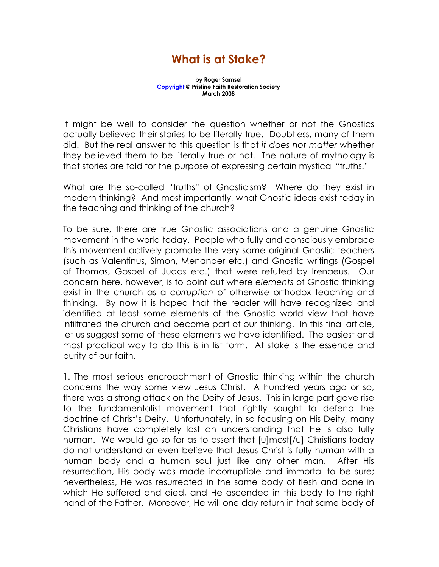## What is at Stake?

by Roger Samsel Copyright © Pristine Faith Restoration Society March 2008

It might be well to consider the question whether or not the Gnostics actually believed their stories to be literally true. Doubtless, many of them did. But the real answer to this question is that it does not matter whether they believed them to be literally true or not. The nature of mythology is that stories are told for the purpose of expressing certain mystical "truths."

What are the so-called "truths" of Gnosticism? Where do they exist in modern thinking? And most importantly, what Gnostic ideas exist today in the teaching and thinking of the church?

To be sure, there are true Gnostic associations and a genuine Gnostic movement in the world today. People who fully and consciously embrace this movement actively promote the very same original Gnostic teachers (such as Valentinus, Simon, Menander etc.) and Gnostic writings (Gospel of Thomas, Gospel of Judas etc.) that were refuted by Irenaeus. Our concern here, however, is to point out where elements of Gnostic thinking exist in the church as a corruption of otherwise orthodox teaching and thinking. By now it is hoped that the reader will have recognized and identified at least some elements of the Gnostic world view that have infiltrated the church and become part of our thinking. In this final article, let us suggest some of these elements we have identified. The easiest and most practical way to do this is in list form. At stake is the essence and purity of our faith.

1. The most serious encroachment of Gnostic thinking within the church concerns the way some view Jesus Christ. A hundred years ago or so, there was a strong attack on the Deity of Jesus. This in large part gave rise to the fundamentalist movement that rightly sought to defend the doctrine of Christ's Deity. Unfortunately, in so focusing on His Deity, many Christians have completely lost an understanding that He is also fully human. We would go so far as to assert that [u]most[/u] Christians today do not understand or even believe that Jesus Christ is fully human with a human body and a human soul just like any other man. After His resurrection, His body was made incorruptible and immortal to be sure; nevertheless, He was resurrected in the same body of flesh and bone in which He suffered and died, and He ascended in this body to the right hand of the Father. Moreover, He will one day return in that same body of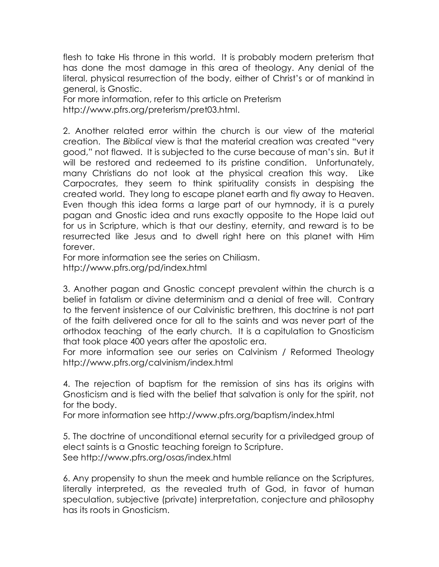flesh to take His throne in this world. It is probably modern preterism that has done the most damage in this area of theology. Any denial of the literal, physical resurrection of the body, either of Christ's or of mankind in general, is Gnostic.

For more information, refer to this article on Preterism http://www.pfrs.org/preterism/pret03.html.

2. Another related error within the church is our view of the material creation. The Biblical view is that the material creation was created "very good," not flawed. It is subjected to the curse because of man's sin. But it will be restored and redeemed to its pristine condition. Unfortunately, many Christians do not look at the physical creation this way. Like Carpocrates, they seem to think spirituality consists in despising the created world. They long to escape planet earth and fly away to Heaven. Even though this idea forms a large part of our hymnody, it is a purely pagan and Gnostic idea and runs exactly opposite to the Hope laid out for us in Scripture, which is that our destiny, eternity, and reward is to be resurrected like Jesus and to dwell right here on this planet with Him forever.

For more information see the series on Chiliasm. http://www.pfrs.org/pd/index.html

3. Another pagan and Gnostic concept prevalent within the church is a belief in fatalism or divine determinism and a denial of free will. Contrary to the fervent insistence of our Calvinistic brethren, this doctrine is not part of the faith delivered once for all to the saints and was never part of the orthodox teaching of the early church. It is a capitulation to Gnosticism that took place 400 years after the apostolic era.

For more information see our series on Calvinism / Reformed Theology http://www.pfrs.org/calvinism/index.html

4. The rejection of baptism for the remission of sins has its origins with Gnosticism and is tied with the belief that salvation is only for the spirit, not for the body.

For more information see http://www.pfrs.org/baptism/index.html

5. The doctrine of unconditional eternal security for a priviledged group of elect saints is a Gnostic teaching foreign to Scripture. See http://www.pfrs.org/osas/index.html

6. Any propensity to shun the meek and humble reliance on the Scriptures, literally interpreted, as the revealed truth of God, in favor of human speculation, subjective (private) interpretation, conjecture and philosophy has its roots in Gnosticism.